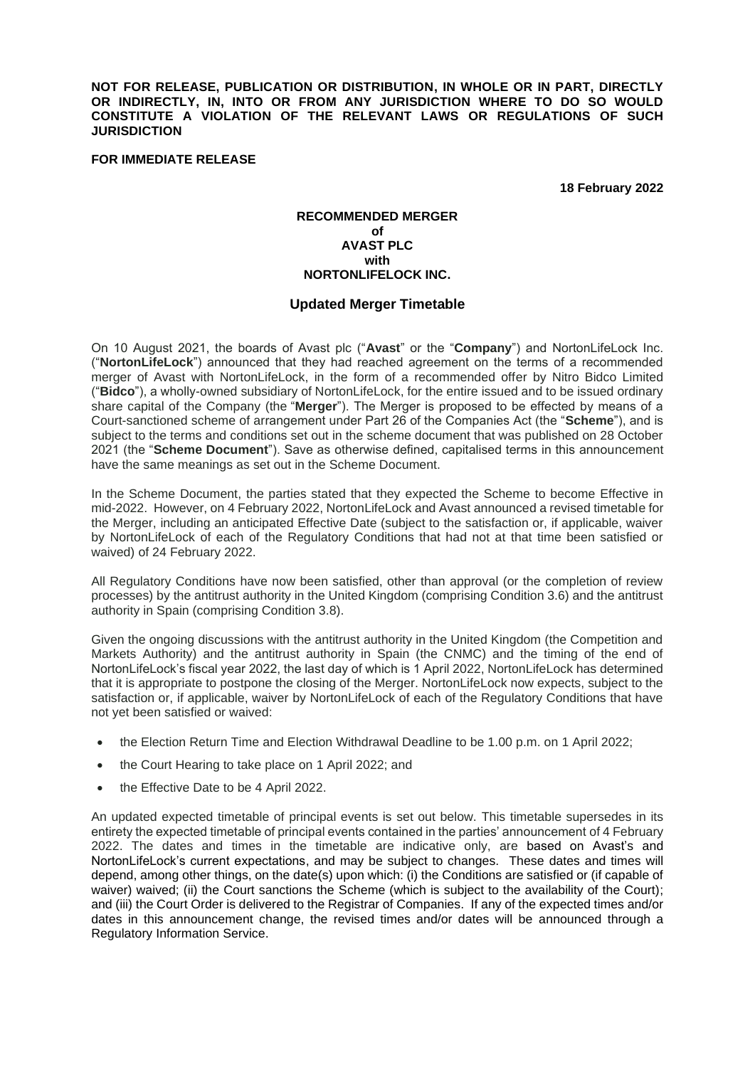**NOT FOR RELEASE, PUBLICATION OR DISTRIBUTION, IN WHOLE OR IN PART, DIRECTLY OR INDIRECTLY, IN, INTO OR FROM ANY JURISDICTION WHERE TO DO SO WOULD CONSTITUTE A VIOLATION OF THE RELEVANT LAWS OR REGULATIONS OF SUCH JURISDICTION**

# **FOR IMMEDIATE RELEASE**

**18 February 2022**

#### **RECOMMENDED MERGER of AVAST PLC with NORTONLIFELOCK INC.**

# **Updated Merger Timetable**

On 10 August 2021, the boards of Avast plc ("**Avast**" or the "**Company**") and NortonLifeLock Inc. ("**NortonLifeLock**") announced that they had reached agreement on the terms of a recommended merger of Avast with NortonLifeLock, in the form of a recommended offer by Nitro Bidco Limited ("**Bidco**"), a wholly-owned subsidiary of NortonLifeLock, for the entire issued and to be issued ordinary share capital of the Company (the "**Merger**"). The Merger is proposed to be effected by means of a Court-sanctioned scheme of arrangement under Part 26 of the Companies Act (the "**Scheme**"), and is subject to the terms and conditions set out in the scheme document that was published on 28 October 2021 (the "**Scheme Document**"). Save as otherwise defined, capitalised terms in this announcement have the same meanings as set out in the Scheme Document.

In the Scheme Document, the parties stated that they expected the Scheme to become Effective in mid-2022. However, on 4 February 2022, NortonLifeLock and Avast announced a revised timetable for the Merger, including an anticipated Effective Date (subject to the satisfaction or, if applicable, waiver by NortonLifeLock of each of the Regulatory Conditions that had not at that time been satisfied or waived) of 24 February 2022.

All Regulatory Conditions have now been satisfied, other than approval (or the completion of review processes) by the antitrust authority in the United Kingdom (comprising Condition 3.6) and the antitrust authority in Spain (comprising Condition 3.8).

Given the ongoing discussions with the antitrust authority in the United Kingdom (the Competition and Markets Authority) and the antitrust authority in Spain (the CNMC) and the timing of the end of NortonLifeLock's fiscal year 2022, the last day of which is 1 April 2022, NortonLifeLock has determined that it is appropriate to postpone the closing of the Merger. NortonLifeLock now expects, subject to the satisfaction or, if applicable, waiver by NortonLifeLock of each of the Regulatory Conditions that have not yet been satisfied or waived:

- the Election Return Time and Election Withdrawal Deadline to be 1.00 p.m. on 1 April 2022;
- the Court Hearing to take place on 1 April 2022; and
- the Effective Date to be 4 April 2022.

An updated expected timetable of principal events is set out below. This timetable supersedes in its entirety the expected timetable of principal events contained in the parties' announcement of 4 February 2022. The dates and times in the timetable are indicative only, are based on Avast's and NortonLifeLock's current expectations, and may be subject to changes. These dates and times will depend, among other things, on the date(s) upon which: (i) the Conditions are satisfied or (if capable of waiver) waived; (ii) the Court sanctions the Scheme (which is subject to the availability of the Court); and (iii) the Court Order is delivered to the Registrar of Companies. If any of the expected times and/or dates in this announcement change, the revised times and/or dates will be announced through a Regulatory Information Service.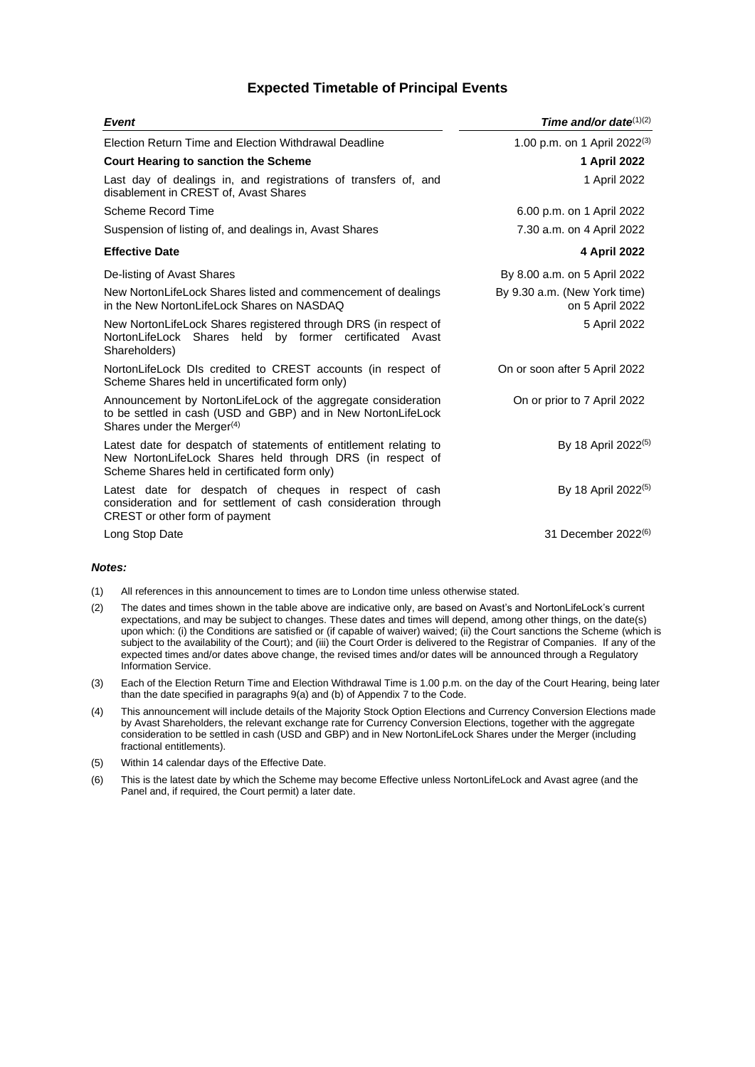# **Expected Timetable of Principal Events**

| Event                                                                                                                                                                           | Time and/or date $(1)(2)$                       |
|---------------------------------------------------------------------------------------------------------------------------------------------------------------------------------|-------------------------------------------------|
| Election Return Time and Election Withdrawal Deadline                                                                                                                           | 1.00 p.m. on 1 April $2022^{(3)}$               |
| <b>Court Hearing to sanction the Scheme</b>                                                                                                                                     | 1 April 2022                                    |
| Last day of dealings in, and registrations of transfers of, and<br>disablement in CREST of, Avast Shares                                                                        | 1 April 2022                                    |
| Scheme Record Time                                                                                                                                                              | 6.00 p.m. on 1 April 2022                       |
| Suspension of listing of, and dealings in, Avast Shares                                                                                                                         | 7.30 a.m. on 4 April 2022                       |
| <b>Effective Date</b>                                                                                                                                                           | 4 April 2022                                    |
| De-listing of Avast Shares                                                                                                                                                      | By 8.00 a.m. on 5 April 2022                    |
| New NortonLifeLock Shares listed and commencement of dealings<br>in the New NortonLifeLock Shares on NASDAQ                                                                     | By 9.30 a.m. (New York time)<br>on 5 April 2022 |
| New NortonLifeLock Shares registered through DRS (in respect of<br>NortonLifeLock Shares held by former certificated Avast<br>Shareholders)                                     | 5 April 2022                                    |
| NortonLifeLock DIs credited to CREST accounts (in respect of<br>Scheme Shares held in uncertificated form only)                                                                 | On or soon after 5 April 2022                   |
| Announcement by NortonLifeLock of the aggregate consideration<br>to be settled in cash (USD and GBP) and in New NortonLifeLock<br>Shares under the Merger <sup>(4)</sup>        | On or prior to 7 April 2022                     |
| Latest date for despatch of statements of entitlement relating to<br>New NortonLifeLock Shares held through DRS (in respect of<br>Scheme Shares held in certificated form only) | By 18 April 2022 <sup>(5)</sup>                 |
| Latest date for despatch of cheques in respect of cash<br>consideration and for settlement of cash consideration through<br>CREST or other form of payment                      | By 18 April 2022 <sup>(5)</sup>                 |
| Long Stop Date                                                                                                                                                                  | 31 December 2022 <sup>(6)</sup>                 |
|                                                                                                                                                                                 |                                                 |

#### *Notes:*

- (1) All references in this announcement to times are to London time unless otherwise stated.
- (2) The dates and times shown in the table above are indicative only, are based on Avast's and NortonLifeLock's current expectations, and may be subject to changes. These dates and times will depend, among other things, on the date(s) upon which: (i) the Conditions are satisfied or (if capable of waiver) waived; (ii) the Court sanctions the Scheme (which is subject to the availability of the Court); and (iii) the Court Order is delivered to the Registrar of Companies. If any of the expected times and/or dates above change, the revised times and/or dates will be announced through a Regulatory Information Service.
- (3) Each of the Election Return Time and Election Withdrawal Time is 1.00 p.m. on the day of the Court Hearing, being later than the date specified in paragraphs 9(a) and (b) of Appendix 7 to the Code.
- (4) This announcement will include details of the Majority Stock Option Elections and Currency Conversion Elections made by Avast Shareholders, the relevant exchange rate for Currency Conversion Elections, together with the aggregate consideration to be settled in cash (USD and GBP) and in New NortonLifeLock Shares under the Merger (including fractional entitlements).
- (5) Within 14 calendar days of the Effective Date.
- (6) This is the latest date by which the Scheme may become Effective unless NortonLifeLock and Avast agree (and the Panel and, if required, the Court permit) a later date.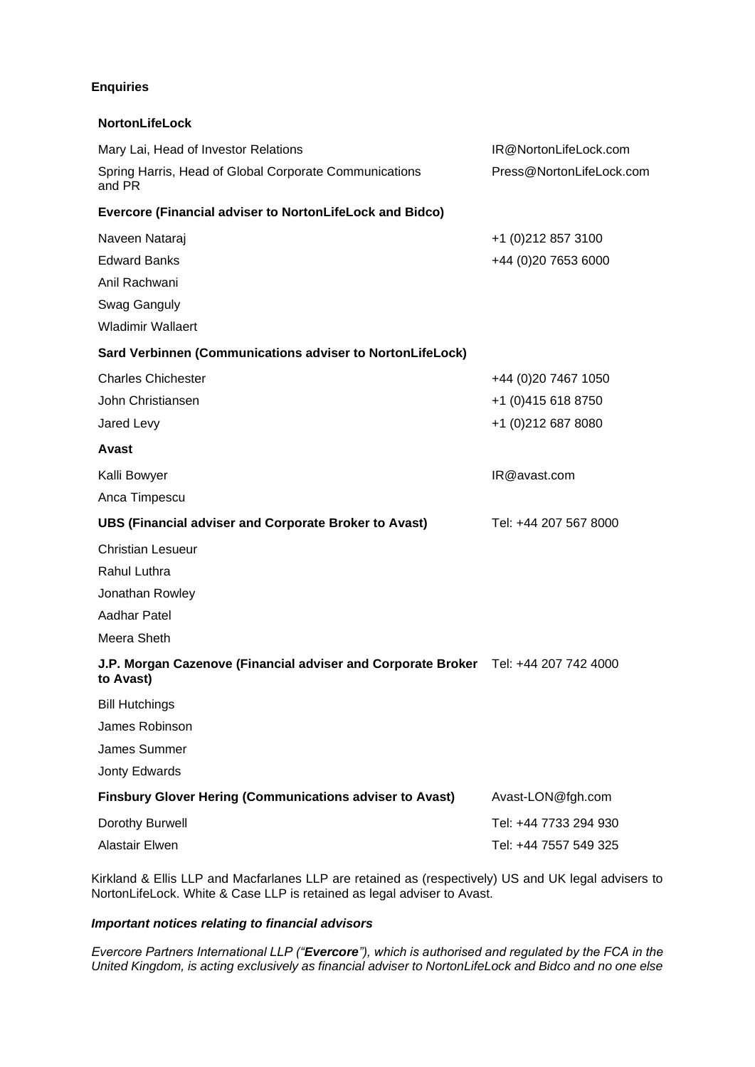# **Enquiries**

# **NortonLifeLock**

| Mary Lai, Head of Investor Relations                                                            | IR@NortonLifeLock.com    |
|-------------------------------------------------------------------------------------------------|--------------------------|
| Spring Harris, Head of Global Corporate Communications<br>and PR                                | Press@NortonLifeLock.com |
| Evercore (Financial adviser to NortonLifeLock and Bidco)                                        |                          |
| Naveen Nataraj                                                                                  | +1 (0) 212 857 3100      |
| <b>Edward Banks</b>                                                                             | +44 (0) 20 7653 6000     |
| Anil Rachwani                                                                                   |                          |
| Swag Ganguly                                                                                    |                          |
| <b>Wladimir Wallaert</b>                                                                        |                          |
| Sard Verbinnen (Communications adviser to NortonLifeLock)                                       |                          |
| <b>Charles Chichester</b>                                                                       | +44 (0) 20 7467 1050     |
| John Christiansen                                                                               | +1 (0)415 618 8750       |
| Jared Levy                                                                                      | +1 (0) 212 687 8080      |
| Avast                                                                                           |                          |
| Kalli Bowyer                                                                                    | IR@avast.com             |
| Anca Timpescu                                                                                   |                          |
| UBS (Financial adviser and Corporate Broker to Avast)                                           | Tel: +44 207 567 8000    |
| <b>Christian Lesueur</b>                                                                        |                          |
| Rahul Luthra                                                                                    |                          |
| Jonathan Rowley                                                                                 |                          |
| Aadhar Patel                                                                                    |                          |
| Meera Sheth                                                                                     |                          |
| J.P. Morgan Cazenove (Financial adviser and Corporate Broker Tel: +44 207 742 4000<br>to Avast) |                          |
| <b>Bill Hutchings</b>                                                                           |                          |
| James Robinson                                                                                  |                          |
| James Summer                                                                                    |                          |
| Jonty Edwards                                                                                   |                          |
| <b>Finsbury Glover Hering (Communications adviser to Avast)</b>                                 | Avast-LON@fgh.com        |
| Dorothy Burwell                                                                                 | Tel: +44 7733 294 930    |
| Alastair Elwen                                                                                  | Tel: +44 7557 549 325    |

Kirkland & Ellis LLP and Macfarlanes LLP are retained as (respectively) US and UK legal advisers to NortonLifeLock. White & Case LLP is retained as legal adviser to Avast.

# *Important notices relating to financial advisors*

*Evercore Partners International LLP ("Evercore"), which is authorised and regulated by the FCA in the United Kingdom, is acting exclusively as financial adviser to NortonLifeLock and Bidco and no one else*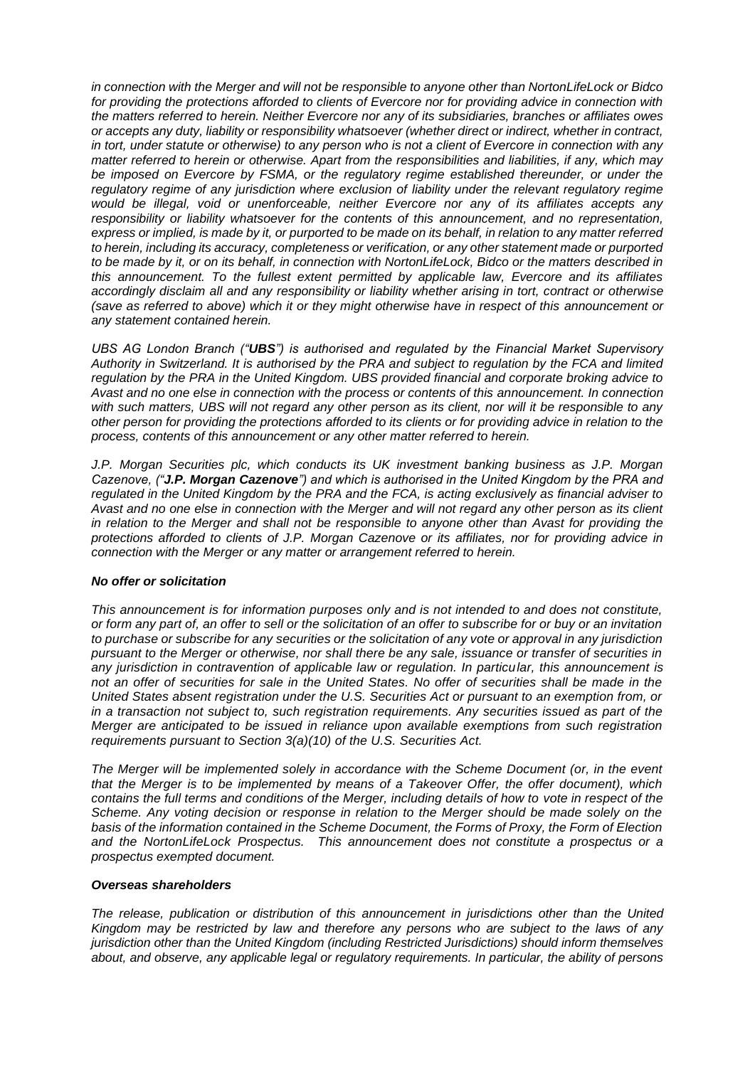*in connection with the Merger and will not be responsible to anyone other than NortonLifeLock or Bidco for providing the protections afforded to clients of Evercore nor for providing advice in connection with the matters referred to herein. Neither Evercore nor any of its subsidiaries, branches or affiliates owes or accepts any duty, liability or responsibility whatsoever (whether direct or indirect, whether in contract, in tort, under statute or otherwise) to any person who is not a client of Evercore in connection with any matter referred to herein or otherwise. Apart from the responsibilities and liabilities, if any, which may be imposed on Evercore by FSMA, or the regulatory regime established thereunder, or under the regulatory regime of any jurisdiction where exclusion of liability under the relevant regulatory regime would be illegal, void or unenforceable, neither Evercore nor any of its affiliates accepts any responsibility or liability whatsoever for the contents of this announcement, and no representation, express or implied, is made by it, or purported to be made on its behalf, in relation to any matter referred to herein, including its accuracy, completeness or verification, or any other statement made or purported to be made by it, or on its behalf, in connection with NortonLifeLock, Bidco or the matters described in this announcement. To the fullest extent permitted by applicable law, Evercore and its affiliates accordingly disclaim all and any responsibility or liability whether arising in tort, contract or otherwise (save as referred to above) which it or they might otherwise have in respect of this announcement or any statement contained herein.*

*UBS AG London Branch ("UBS") is authorised and regulated by the Financial Market Supervisory Authority in Switzerland. It is authorised by the PRA and subject to regulation by the FCA and limited regulation by the PRA in the United Kingdom. UBS provided financial and corporate broking advice to Avast and no one else in connection with the process or contents of this announcement. In connection with such matters, UBS will not regard any other person as its client, nor will it be responsible to any other person for providing the protections afforded to its clients or for providing advice in relation to the process, contents of this announcement or any other matter referred to herein.*

*J.P. Morgan Securities plc, which conducts its UK investment banking business as J.P. Morgan Cazenove, ("J.P. Morgan Cazenove") and which is authorised in the United Kingdom by the PRA and regulated in the United Kingdom by the PRA and the FCA, is acting exclusively as financial adviser to Avast and no one else in connection with the Merger and will not regard any other person as its client in relation to the Merger and shall not be responsible to anyone other than Avast for providing the protections afforded to clients of J.P. Morgan Cazenove or its affiliates, nor for providing advice in connection with the Merger or any matter or arrangement referred to herein.*

### *No offer or solicitation*

*This announcement is for information purposes only and is not intended to and does not constitute, or form any part of, an offer to sell or the solicitation of an offer to subscribe for or buy or an invitation to purchase or subscribe for any securities or the solicitation of any vote or approval in any jurisdiction pursuant to the Merger or otherwise, nor shall there be any sale, issuance or transfer of securities in any jurisdiction in contravention of applicable law or regulation. In particular, this announcement is not an offer of securities for sale in the United States. No offer of securities shall be made in the United States absent registration under the U.S. Securities Act or pursuant to an exemption from, or in a transaction not subject to, such registration requirements. Any securities issued as part of the Merger are anticipated to be issued in reliance upon available exemptions from such registration requirements pursuant to Section 3(a)(10) of the U.S. Securities Act.*

*The Merger will be implemented solely in accordance with the Scheme Document (or, in the event that the Merger is to be implemented by means of a Takeover Offer, the offer document), which contains the full terms and conditions of the Merger, including details of how to vote in respect of the Scheme. Any voting decision or response in relation to the Merger should be made solely on the basis of the information contained in the Scheme Document, the Forms of Proxy, the Form of Election and the NortonLifeLock Prospectus. This announcement does not constitute a prospectus or a prospectus exempted document.*

### *Overseas shareholders*

*The release, publication or distribution of this announcement in jurisdictions other than the United Kingdom may be restricted by law and therefore any persons who are subject to the laws of any jurisdiction other than the United Kingdom (including Restricted Jurisdictions) should inform themselves about, and observe, any applicable legal or regulatory requirements. In particular, the ability of persons*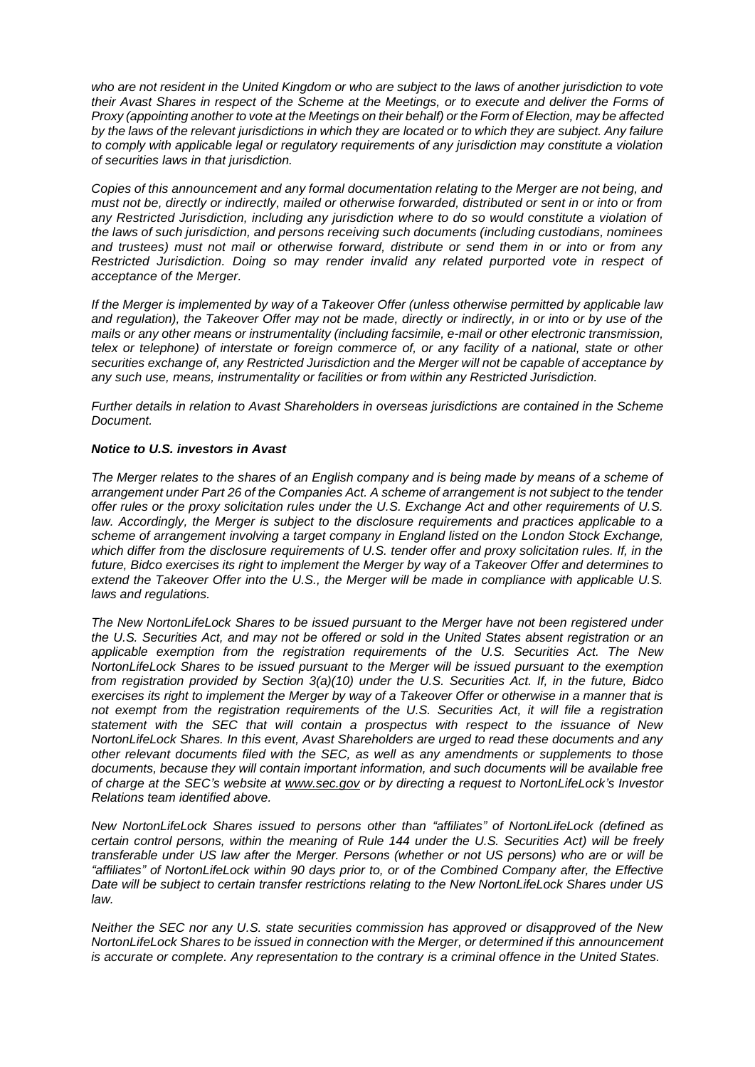*who are not resident in the United Kingdom or who are subject to the laws of another jurisdiction to vote their Avast Shares in respect of the Scheme at the Meetings, or to execute and deliver the Forms of Proxy (appointing another to vote at the Meetings on their behalf) or the Form of Election, may be affected by the laws of the relevant jurisdictions in which they are located or to which they are subject. Any failure to comply with applicable legal or regulatory requirements of any jurisdiction may constitute a violation of securities laws in that jurisdiction.*

*Copies of this announcement and any formal documentation relating to the Merger are not being, and must not be, directly or indirectly, mailed or otherwise forwarded, distributed or sent in or into or from any Restricted Jurisdiction, including any jurisdiction where to do so would constitute a violation of the laws of such jurisdiction, and persons receiving such documents (including custodians, nominees and trustees) must not mail or otherwise forward, distribute or send them in or into or from any Restricted Jurisdiction. Doing so may render invalid any related purported vote in respect of acceptance of the Merger.*

*If the Merger is implemented by way of a Takeover Offer (unless otherwise permitted by applicable law and regulation), the Takeover Offer may not be made, directly or indirectly, in or into or by use of the mails or any other means or instrumentality (including facsimile, e-mail or other electronic transmission, telex or telephone) of interstate or foreign commerce of, or any facility of a national, state or other securities exchange of, any Restricted Jurisdiction and the Merger will not be capable of acceptance by any such use, means, instrumentality or facilities or from within any Restricted Jurisdiction.*

*Further details in relation to Avast Shareholders in overseas jurisdictions are contained in the Scheme Document.*

### *Notice to U.S. investors in Avast*

*The Merger relates to the shares of an English company and is being made by means of a scheme of arrangement under Part 26 of the Companies Act. A scheme of arrangement is not subject to the tender offer rules or the proxy solicitation rules under the U.S. Exchange Act and other requirements of U.S. law. Accordingly, the Merger is subject to the disclosure requirements and practices applicable to a scheme of arrangement involving a target company in England listed on the London Stock Exchange, which differ from the disclosure requirements of U.S. tender offer and proxy solicitation rules. If, in the future, Bidco exercises its right to implement the Merger by way of a Takeover Offer and determines to extend the Takeover Offer into the U.S., the Merger will be made in compliance with applicable U.S. laws and regulations.*

*The New NortonLifeLock Shares to be issued pursuant to the Merger have not been registered under the U.S. Securities Act, and may not be offered or sold in the United States absent registration or an applicable exemption from the registration requirements of the U.S. Securities Act. The New NortonLifeLock Shares to be issued pursuant to the Merger will be issued pursuant to the exemption from registration provided by Section 3(a)(10) under the U.S. Securities Act. If, in the future, Bidco exercises its right to implement the Merger by way of a Takeover Offer or otherwise in a manner that is not exempt from the registration requirements of the U.S. Securities Act, it will file a registration statement with the SEC that will contain a prospectus with respect to the issuance of New NortonLifeLock Shares. In this event, Avast Shareholders are urged to read these documents and any other relevant documents filed with the SEC, as well as any amendments or supplements to those documents, because they will contain important information, and such documents will be available free of charge at the SEC's website at [www.sec.gov](http://www.sec.gov/) or by directing a request to NortonLifeLock's Investor Relations team identified above.*

*New NortonLifeLock Shares issued to persons other than "affiliates" of NortonLifeLock (defined as certain control persons, within the meaning of Rule 144 under the U.S. Securities Act) will be freely transferable under US law after the Merger. Persons (whether or not US persons) who are or will be "affiliates" of NortonLifeLock within 90 days prior to, or of the Combined Company after, the Effective Date will be subject to certain transfer restrictions relating to the New NortonLifeLock Shares under US law.*

*Neither the SEC nor any U.S. state securities commission has approved or disapproved of the New NortonLifeLock Shares to be issued in connection with the Merger, or determined if this announcement is accurate or complete. Any representation to the contrary is a criminal offence in the United States.*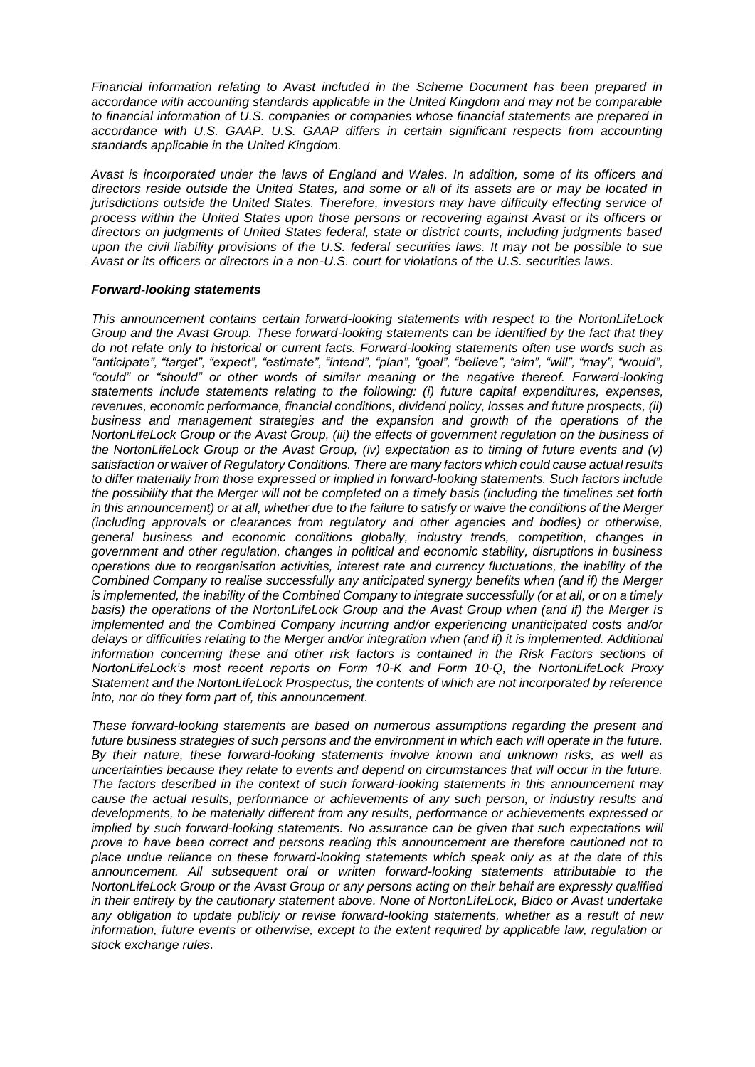*Financial information relating to Avast included in the Scheme Document has been prepared in accordance with accounting standards applicable in the United Kingdom and may not be comparable to financial information of U.S. companies or companies whose financial statements are prepared in accordance with U.S. GAAP. U.S. GAAP differs in certain significant respects from accounting standards applicable in the United Kingdom.*

*Avast is incorporated under the laws of England and Wales. In addition, some of its officers and directors reside outside the United States, and some or all of its assets are or may be located in jurisdictions outside the United States. Therefore, investors may have difficulty effecting service of process within the United States upon those persons or recovering against Avast or its officers or directors on judgments of United States federal, state or district courts, including judgments based upon the civil liability provisions of the U.S. federal securities laws. It may not be possible to sue Avast or its officers or directors in a non-U.S. court for violations of the U.S. securities laws.*

### *Forward-looking statements*

*This announcement contains certain forward-looking statements with respect to the NortonLifeLock Group and the Avast Group. These forward-looking statements can be identified by the fact that they do not relate only to historical or current facts. Forward-looking statements often use words such as "anticipate", "target", "expect", "estimate", "intend", "plan", "goal", "believe", "aim", "will", "may", "would", "could" or "should" or other words of similar meaning or the negative thereof. Forward-looking statements include statements relating to the following: (i) future capital expenditures, expenses, revenues, economic performance, financial conditions, dividend policy, losses and future prospects, (ii) business and management strategies and the expansion and growth of the operations of the NortonLifeLock Group or the Avast Group, (iii) the effects of government regulation on the business of the NortonLifeLock Group or the Avast Group, (iv) expectation as to timing of future events and (v) satisfaction or waiver of Regulatory Conditions. There are many factors which could cause actual results to differ materially from those expressed or implied in forward-looking statements. Such factors include the possibility that the Merger will not be completed on a timely basis (including the timelines set forth in this announcement) or at all, whether due to the failure to satisfy or waive the conditions of the Merger (including approvals or clearances from regulatory and other agencies and bodies) or otherwise, general business and economic conditions globally, industry trends, competition, changes in government and other regulation, changes in political and economic stability, disruptions in business operations due to reorganisation activities, interest rate and currency fluctuations, the inability of the Combined Company to realise successfully any anticipated synergy benefits when (and if) the Merger is implemented, the inability of the Combined Company to integrate successfully (or at all, or on a timely basis) the operations of the NortonLifeLock Group and the Avast Group when (and if) the Merger is implemented and the Combined Company incurring and/or experiencing unanticipated costs and/or delays or difficulties relating to the Merger and/or integration when (and if) it is implemented. Additional information concerning these and other risk factors is contained in the Risk Factors sections of NortonLifeLock's most recent reports on Form 10-K and Form 10-Q, the NortonLifeLock Proxy Statement and the NortonLifeLock Prospectus, the contents of which are not incorporated by reference into, nor do they form part of, this announcement.*

*These forward-looking statements are based on numerous assumptions regarding the present and future business strategies of such persons and the environment in which each will operate in the future. By their nature, these forward-looking statements involve known and unknown risks, as well as uncertainties because they relate to events and depend on circumstances that will occur in the future. The factors described in the context of such forward-looking statements in this announcement may cause the actual results, performance or achievements of any such person, or industry results and developments, to be materially different from any results, performance or achievements expressed or implied by such forward-looking statements. No assurance can be given that such expectations will prove to have been correct and persons reading this announcement are therefore cautioned not to place undue reliance on these forward-looking statements which speak only as at the date of this announcement. All subsequent oral or written forward-looking statements attributable to the NortonLifeLock Group or the Avast Group or any persons acting on their behalf are expressly qualified in their entirety by the cautionary statement above. None of NortonLifeLock, Bidco or Avast undertake any obligation to update publicly or revise forward-looking statements, whether as a result of new information, future events or otherwise, except to the extent required by applicable law, regulation or stock exchange rules.*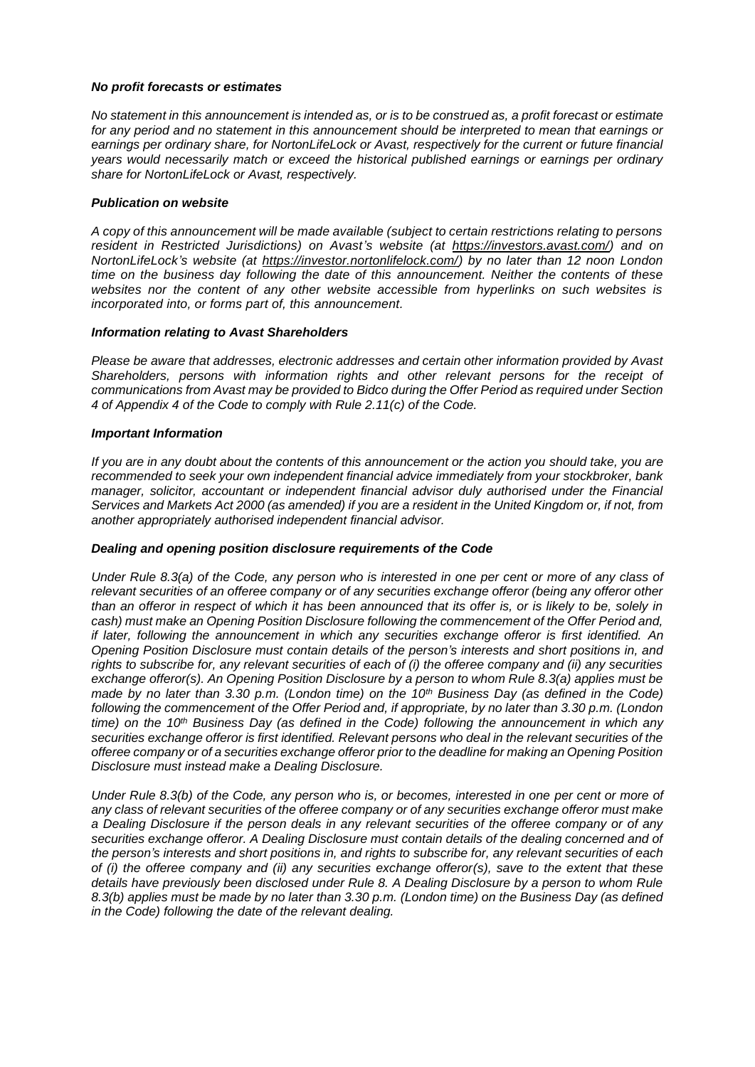### *No profit forecasts or estimates*

*No statement in this announcement is intended as, or is to be construed as, a profit forecast or estimate for any period and no statement in this announcement should be interpreted to mean that earnings or earnings per ordinary share, for NortonLifeLock or Avast, respectively for the current or future financial years would necessarily match or exceed the historical published earnings or earnings per ordinary share for NortonLifeLock or Avast, respectively.*

# *Publication on website*

*A copy of this announcement will be made available (subject to certain restrictions relating to persons resident in Restricted Jurisdictions) on Avast's website (at [https://investors.avast.com/\)](https://investors.avast.com/) and on NortonLifeLock's website (at [https://investor.nortonlifelock.com/\)](https://investor.nortonlifelock.com/) by no later than 12 noon London time on the business day following the date of this announcement. Neither the contents of these websites nor the content of any other website accessible from hyperlinks on such websites is incorporated into, or forms part of, this announcement.*

# *Information relating to Avast Shareholders*

*Please be aware that addresses, electronic addresses and certain other information provided by Avast Shareholders, persons with information rights and other relevant persons for the receipt of communications from Avast may be provided to Bidco during the Offer Period as required under Section 4 of Appendix 4 of the Code to comply with Rule 2.11(c) of the Code.*

# *Important Information*

*If you are in any doubt about the contents of this announcement or the action you should take, you are recommended to seek your own independent financial advice immediately from your stockbroker, bank manager, solicitor, accountant or independent financial advisor duly authorised under the Financial Services and Markets Act 2000 (as amended) if you are a resident in the United Kingdom or, if not, from another appropriately authorised independent financial advisor.*

### *Dealing and opening position disclosure requirements of the Code*

*Under Rule 8.3(a) of the Code, any person who is interested in one per cent or more of any class of relevant securities of an offeree company or of any securities exchange offeror (being any offeror other than an offeror in respect of which it has been announced that its offer is, or is likely to be, solely in cash) must make an Opening Position Disclosure following the commencement of the Offer Period and, if later, following the announcement in which any securities exchange offeror is first identified. An Opening Position Disclosure must contain details of the person's interests and short positions in, and rights to subscribe for, any relevant securities of each of (i) the offeree company and (ii) any securities exchange offeror(s). An Opening Position Disclosure by a person to whom Rule 8.3(a) applies must be made by no later than 3.30 p.m. (London time) on the 10th Business Day (as defined in the Code) following the commencement of the Offer Period and, if appropriate, by no later than 3.30 p.m. (London time) on the 10th Business Day (as defined in the Code) following the announcement in which any securities exchange offeror is first identified. Relevant persons who deal in the relevant securities of the offeree company or of a securities exchange offeror prior to the deadline for making an Opening Position Disclosure must instead make a Dealing Disclosure.*

*Under Rule 8.3(b) of the Code, any person who is, or becomes, interested in one per cent or more of any class of relevant securities of the offeree company or of any securities exchange offeror must make a Dealing Disclosure if the person deals in any relevant securities of the offeree company or of any securities exchange offeror. A Dealing Disclosure must contain details of the dealing concerned and of the person's interests and short positions in, and rights to subscribe for, any relevant securities of each of (i) the offeree company and (ii) any securities exchange offeror(s), save to the extent that these details have previously been disclosed under Rule 8. A Dealing Disclosure by a person to whom Rule 8.3(b) applies must be made by no later than 3.30 p.m. (London time) on the Business Day (as defined in the Code) following the date of the relevant dealing.*